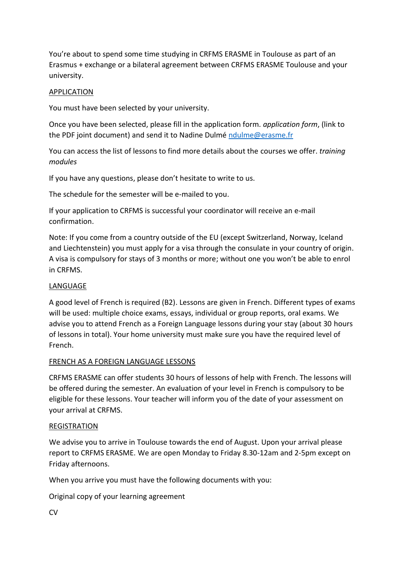You're about to spend some time studying in CRFMS ERASME in Toulouse as part of an Erasmus + exchange or a bilateral agreement between CRFMS ERASME Toulouse and your university.

## APPLICATION

You must have been selected by your university.

Once you have been selected, please fill in the application form. *application form*, (link to the PDF joint document) and send it to Nadine Dulmé [ndulme@erasme.fr](mailto:ndulme@erasme.fr)

You can access the list of lessons to find more details about the courses we offer. *training modules* 

If you have any questions, please don't hesitate to write to us.

The schedule for the semester will be e-mailed to you.

If your application to CRFMS is successful your coordinator will receive an e-mail confirmation.

Note: If you come from a country outside of the EU (except Switzerland, Norway, Iceland and Liechtenstein) you must apply for a visa through the consulate in your country of origin. A visa is compulsory for stays of 3 months or more; without one you won't be able to enrol in CRFMS.

# LANGUAGE

A good level of French is required (B2). Lessons are given in French. Different types of exams will be used: multiple choice exams, essays, individual or group reports, oral exams. We advise you to attend French as a Foreign Language lessons during your stay (about 30 hours of lessons in total). Your home university must make sure you have the required level of French.

## FRENCH AS A FOREIGN LANGUAGE LESSONS

CRFMS ERASME can offer students 30 hours of lessons of help with French. The lessons will be offered during the semester. An evaluation of your level in French is compulsory to be eligible for these lessons. Your teacher will inform you of the date of your assessment on your arrival at CRFMS.

## **REGISTRATION**

We advise you to arrive in Toulouse towards the end of August. Upon your arrival please report to CRFMS ERASME. We are open Monday to Friday 8.30-12am and 2-5pm except on Friday afternoons.

When you arrive you must have the following documents with you:

Original copy of your learning agreement

 $\sim$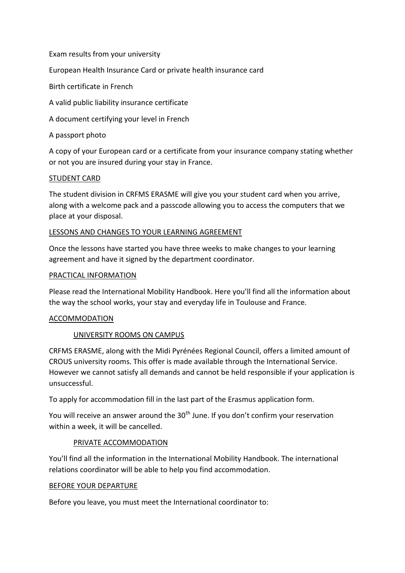Exam results from your university

European Health Insurance Card or private health insurance card

Birth certificate in French

A valid public liability insurance certificate

A document certifying your level in French

A passport photo

A copy of your European card or a certificate from your insurance company stating whether or not you are insured during your stay in France.

### STUDENT CARD

The student division in CRFMS ERASME will give you your student card when you arrive, along with a welcome pack and a passcode allowing you to access the computers that we place at your disposal.

### LESSONS AND CHANGES TO YOUR LEARNING AGREEMENT

Once the lessons have started you have three weeks to make changes to your learning agreement and have it signed by the department coordinator.

#### PRACTICAL INFORMATION

Please read the International Mobility Handbook. Here you'll find all the information about the way the school works, your stay and everyday life in Toulouse and France.

#### ACCOMMODATION

## UNIVERSITY ROOMS ON CAMPUS

CRFMS ERASME, along with the Midi Pyrénées Regional Council, offers a limited amount of CROUS university rooms. This offer is made available through the International Service. However we cannot satisfy all demands and cannot be held responsible if your application is unsuccessful.

To apply for accommodation fill in the last part of the Erasmus application form.

You will receive an answer around the  $30<sup>th</sup>$  June. If you don't confirm your reservation within a week, it will be cancelled.

#### PRIVATE ACCOMMODATION

You'll find all the information in the International Mobility Handbook. The international relations coordinator will be able to help you find accommodation.

#### BEFORE YOUR DEPARTURE

Before you leave, you must meet the International coordinator to: